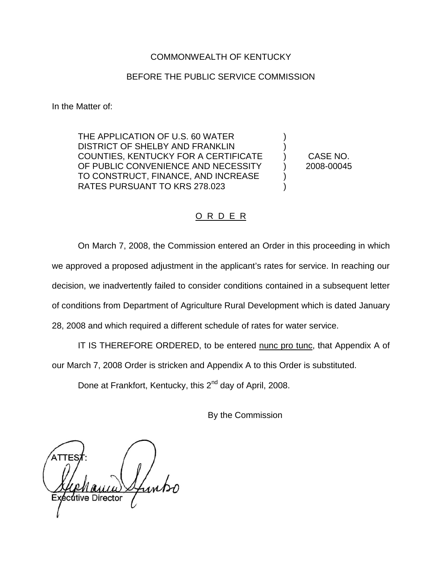## COMMONWEALTH OF KENTUCKY

### BEFORE THE PUBLIC SERVICE COMMISSION

In the Matter of:

THE APPLICATION OF U.S. 60 WATER DISTRICT OF SHELBY AND FRANKLIN COUNTIES, KENTUCKY FOR A CERTIFICATE OF PUBLIC CONVENIENCE AND NECESSITY TO CONSTRUCT, FINANCE, AND INCREASE RATES PURSUANT TO KRS 278.023

CASE NO. 2008-00045

) ) ) ) ) )

### O R D E R

On March 7, 2008, the Commission entered an Order in this proceeding in which we approved a proposed adjustment in the applicant's rates for service. In reaching our decision, we inadvertently failed to consider conditions contained in a subsequent letter of conditions from Department of Agriculture Rural Development which is dated January 28, 2008 and which required a different schedule of rates for water service.

IT IS THEREFORE ORDERED, to be entered nunc pro tunc, that Appendix A of

our March 7, 2008 Order is stricken and Appendix A to this Order is substituted.

Done at Frankfort, Kentucky, this 2<sup>nd</sup> day of April, 2008.

By the Commission

'itive Director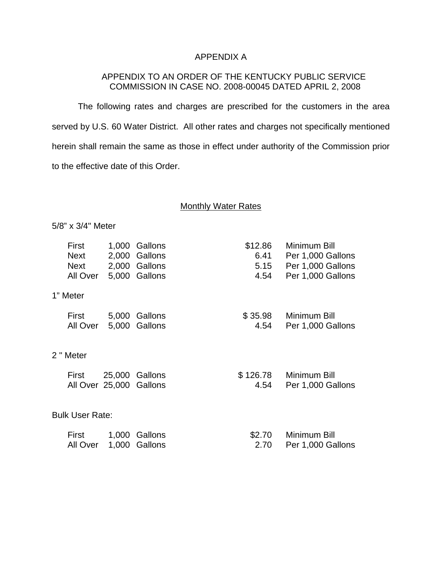# APPENDIX A

# APPENDIX TO AN ORDER OF THE KENTUCKY PUBLIC SERVICE COMMISSION IN CASE NO. 2008-00045 DATED APRIL 2, 2008

The following rates and charges are prescribed for the customers in the area served by U.S. 60 Water District. All other rates and charges not specifically mentioned herein shall remain the same as those in effect under authority of the Commission prior to the effective date of this Order.

#### Monthly Water Rates

5/8" x 3/4" Meter

|                        | First<br>Next<br><b>Next</b><br>All Over | 1,000          | Gallons<br>2,000 Gallons<br>2,000 Gallons<br>5,000 Gallons | \$12.86<br>6.41<br>5.15<br>4.54 | Minimum Bill<br>Per 1,000 Gallons<br>Per 1,000 Gallons<br>Per 1,000 Gallons |  |
|------------------------|------------------------------------------|----------------|------------------------------------------------------------|---------------------------------|-----------------------------------------------------------------------------|--|
| 1" Meter               |                                          |                |                                                            |                                 |                                                                             |  |
|                        | First<br>All Over                        |                | 5,000 Gallons<br>5,000 Gallons                             | \$35.98<br>4.54                 | Minimum Bill<br>Per 1,000 Gallons                                           |  |
| 2 " Meter              |                                          |                |                                                            |                                 |                                                                             |  |
|                        | First<br>All Over 25,000 Gallons         |                | 25,000 Gallons                                             | \$ 126.78<br>4.54               | Minimum Bill<br>Per 1,000 Gallons                                           |  |
| <b>Bulk User Rate:</b> |                                          |                |                                                            |                                 |                                                                             |  |
|                        | First<br>All Over                        | 1,000<br>1,000 | Gallons<br>Gallons                                         | \$2.70<br>2.70                  | Minimum Bill<br>Per 1,000 Gallons                                           |  |